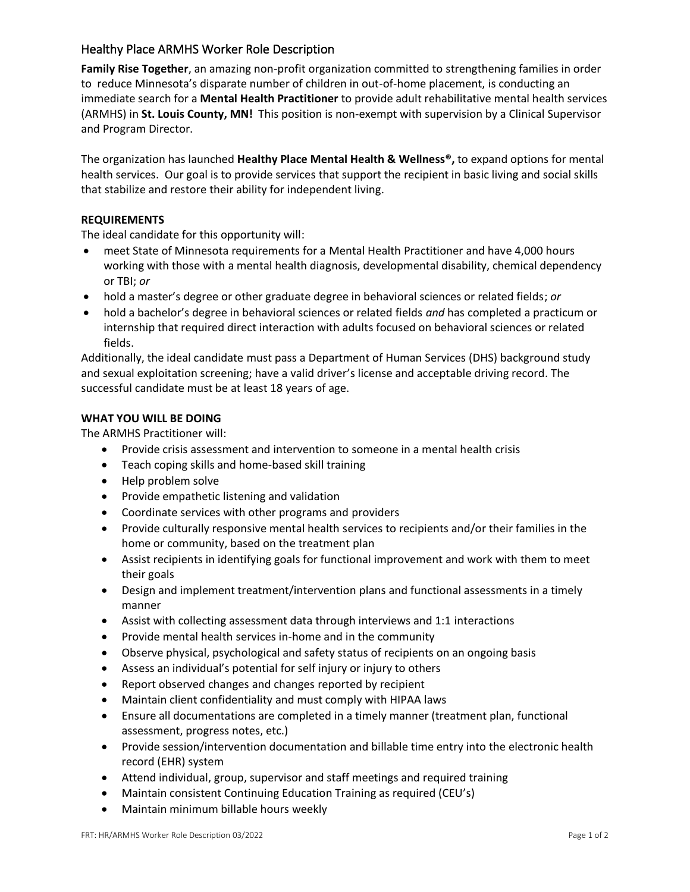# Healthy Place ARMHS Worker Role Description

**Family Rise Together**, an amazing non-profit organization committed to strengthening families in order to reduce Minnesota's disparate number of children in out-of-home placement, is conducting an immediate search for a **Mental Health Practitioner** to provide adult rehabilitative mental health services (ARMHS) in **St. Louis County, MN!** This position is non-exempt with supervision by a Clinical Supervisor and Program Director.

The organization has launched **Healthy Place Mental Health & Wellness®,** to expand options for mental health services. Our goal is to provide services that support the recipient in basic living and social skills that stabilize and restore their ability for independent living.

## **REQUIREMENTS**

The ideal candidate for this opportunity will:

- meet State of Minnesota requirements for a Mental Health Practitioner and have 4,000 hours working with those with a mental health diagnosis, developmental disability, chemical dependency or TBI; *or*
- hold a master's degree or other graduate degree in behavioral sciences or related fields; *or*
- hold a bachelor's degree in behavioral sciences or related fields *and* has completed a practicum or internship that required direct interaction with adults focused on behavioral sciences or related fields.

Additionally, the ideal candidate must pass a Department of Human Services (DHS) background study and sexual exploitation screening; have a valid driver's license and acceptable driving record. The successful candidate must be at least 18 years of age.

## **WHAT YOU WILL BE DOING**

The ARMHS Practitioner will:

- Provide crisis assessment and intervention to someone in a mental health crisis
- Teach coping skills and home-based skill training
- Help problem solve
- Provide empathetic listening and validation
- Coordinate services with other programs and providers
- Provide culturally responsive mental health services to recipients and/or their families in the home or community, based on the treatment plan
- Assist recipients in identifying goals for functional improvement and work with them to meet their goals
- Design and implement treatment/intervention plans and functional assessments in a timely manner
- Assist with collecting assessment data through interviews and 1:1 interactions
- Provide mental health services in-home and in the community
- Observe physical, psychological and safety status of recipients on an ongoing basis
- Assess an individual's potential for self injury or injury to others
- Report observed changes and changes reported by recipient
- Maintain client confidentiality and must comply with HIPAA laws
- Ensure all documentations are completed in a timely manner (treatment plan, functional assessment, progress notes, etc.)
- Provide session/intervention documentation and billable time entry into the electronic health record (EHR) system
- Attend individual, group, supervisor and staff meetings and required training
- Maintain consistent Continuing Education Training as required (CEU's)
- Maintain minimum billable hours weekly